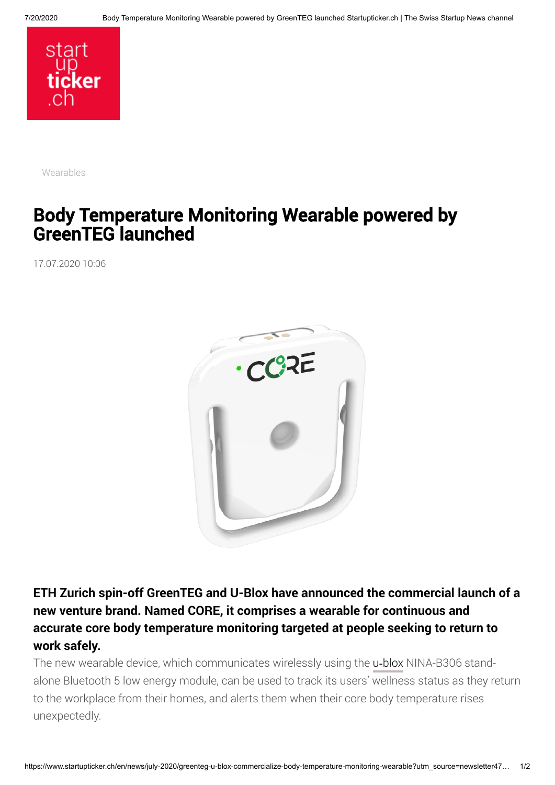

[Wearables](https://www.startupticker.ch/en/topics?tag=Wearables&show_one_tag=1)

## Body Temperature Monitoring Wearable powered by GreenTEG launched

17.07.2020 10:06



**ETH Zurich spin-off GreenTEG and U-Blox have announced the commercial launch of a new venture brand. Named CORE, it comprises a wearable for continuous and accurate core body temperature monitoring targeted at people seeking to return to work safely.**

The new wearable device, which communicates wirelessly using the u-[blox](https://www.u-blox.com/en) NINA-B306 standalone Bluetooth 5 low energy module, can be used to track its users' wellness status as they return to the workplace from their homes, and alerts them when their core body temperature rises unexpectedly.